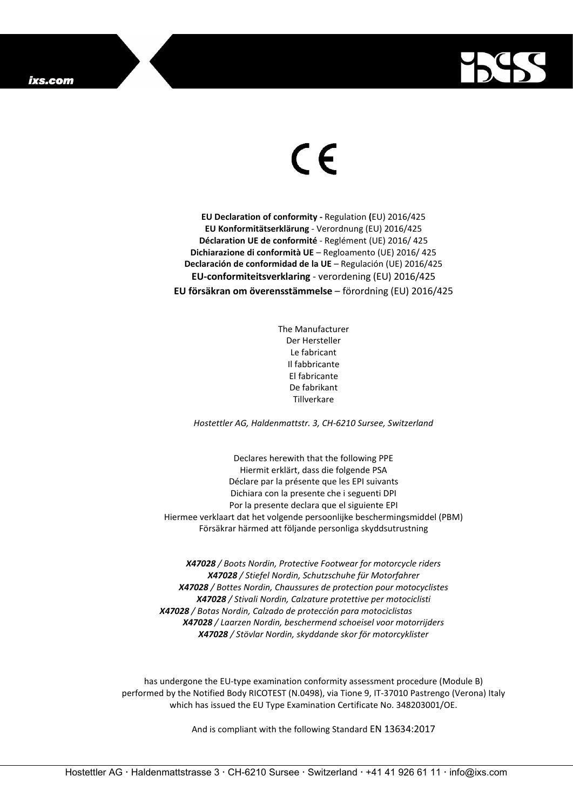

## $\epsilon$

**EU Declaration of conformity -** Regulation **(**EU) 2016/425 **EU Konformitätserklärung** - Verordnung (EU) 2016/425 **Déclaration UE de conformité** - Reglément (UE) 2016/ 425 **Dichiarazione di conformità UE** – Regloamento (UE) 2016/ 425 **Declaración de conformidad de la UE** – Regulación (UE) 2016/425 **EU-conformiteitsverklaring** - verordening (EU) 2016/425 **EU försäkran om överensstämmelse** – förordning (EU) 2016/425

> The Manufacturer Der Hersteller Le fabricant Il fabbricante El fabricante De fabrikant Tillverkare

*Hostettler AG, Haldenmattstr. 3, CH-6210 Sursee, Switzerland*

Declares herewith that the following PPE Hiermit erklärt, dass die folgende PSA Déclare par la présente que les EPI suivants Dichiara con la presente che i seguenti DPI Por la presente declara que el siguiente EPI Hiermee verklaart dat het volgende persoonlijke beschermingsmiddel (PBM) Försäkrar härmed att följande personliga skyddsutrustning

*X47028 / Boots Nordin, Protective Footwear for motorcycle riders X47028 / Stiefel Nordin, Schutzschuhe für Motorfahrer X47028 / Bottes Nordin, Chaussures de protection pour motocyclistes X47028 / Stivali Nordin, Calzature protettive per motociclisti X47028 / Botas Nordin, Calzado de protección para motociclistas X47028 / Laarzen Nordin, beschermend schoeisel voor motorrijders X47028 / Stövlar Nordin, skyddande skor för motorcyklister*

has undergone the EU-type examination conformity assessment procedure (Module B) performed by the Notified Body RICOTEST (N.0498), via Tione 9, IT-37010 Pastrengo (Verona) Italy which has issued the EU Type Examination Certificate No. 348203001/OE.

And is compliant with the following Standard EN 13634:2017